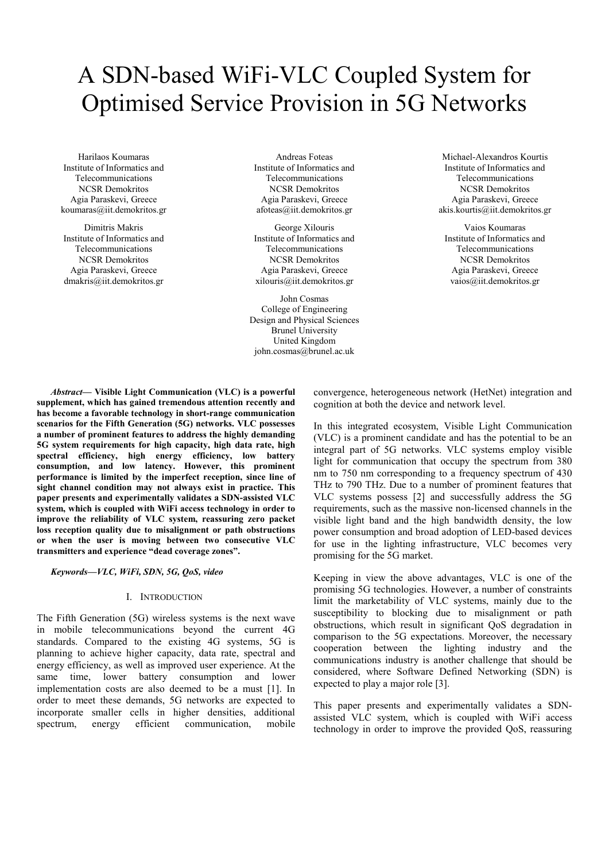# A SDN-based WiFi-VLC Coupled System for Optimised Service Provision in 5G Networks

Harilaos Koumaras Institute of Informatics and Telecommunications NCSR Demokritos Agia Paraskevi, Greece koumaras@iit.demokritos.gr

Dimitris Makris Institute of Informatics and Telecommunications NCSR Demokritos Agia Paraskevi, Greece dmakris@iit.demokritos.gr

Andreas Foteas Institute of Informatics and Telecommunications NCSR Demokritos Agia Paraskevi, Greece afoteas@iit.demokritos.gr

George Xilouris Institute of Informatics and Telecommunications NCSR Demokritos Agia Paraskevi, Greece xilouris@iit.demokritos.gr

John Cosmas College of Engineering Design and Physical Sciences Brunel University United Kingdom john.cosmas@brunel.ac.uk

Michael-Alexandros Kourtis Institute of Informatics and Telecommunications NCSR Demokritos Agia Paraskevi, Greece akis.kourtis@iit.demokritos.gr

Vaios Koumaras Institute of Informatics and Telecommunications NCSR Demokritos Agia Paraskevi, Greece vaios@iit.demokritos.gr

*Abstract***— Visible Light Communication (VLC) is a powerful supplement, which has gained tremendous attention recently and has become a favorable technology in short-range communication scenarios for the Fifth Generation (5G) networks. VLC possesses a number of prominent features to address the highly demanding 5G system requirements for high capacity, high data rate, high spectral efficiency, high energy efficiency, low battery consumption, and low latency. However, this prominent performance is limited by the imperfect reception, since line of sight channel condition may not always exist in practice. This paper presents and experimentally validates a SDN-assisted VLC system, which is coupled with WiFi access technology in order to improve the reliability of VLC system, reassuring zero packet loss reception quality due to misalignment or path obstructions or when the user is moving between two consecutive VLC transmitters and experience "dead coverage zones".**

#### *Keywords—VLC, WiFi, SDN, 5G, QoS, video*

#### I. INTRODUCTION

The Fifth Generation (5G) wireless systems is the next wave in mobile telecommunications beyond the current 4G standards. Compared to the existing 4G systems, 5G is planning to achieve higher capacity, data rate, spectral and energy efficiency, as well as improved user experience. At the same time, lower battery consumption and lower implementation costs are also deemed to be a must [1]. In order to meet these demands, 5G networks are expected to incorporate smaller cells in higher densities, additional spectrum, energy efficient communication, mobile convergence, heterogeneous network (HetNet) integration and cognition at both the device and network level.

In this integrated ecosystem, Visible Light Communication (VLC) is a prominent candidate and has the potential to be an integral part of 5G networks. VLC systems employ visible light for communication that occupy the spectrum from 380 nm to 750 nm corresponding to a frequency spectrum of 430 THz to 790 THz. Due to a number of prominent features that VLC systems possess [2] and successfully address the 5G requirements, such as the massive non-licensed channels in the visible light band and the high bandwidth density, the low power consumption and broad adoption of LED-based devices for use in the lighting infrastructure, VLC becomes very promising for the 5G market.

Keeping in view the above advantages, VLC is one of the promising 5G technologies. However, a number of constraints limit the marketability of VLC systems, mainly due to the susceptibility to blocking due to misalignment or path obstructions, which result in significant QoS degradation in comparison to the 5G expectations. Moreover, the necessary cooperation between the lighting industry and the communications industry is another challenge that should be considered, where Software Defined Networking (SDN) is expected to play a major role [3].

This paper presents and experimentally validates a SDNassisted VLC system, which is coupled with WiFi access technology in order to improve the provided QoS, reassuring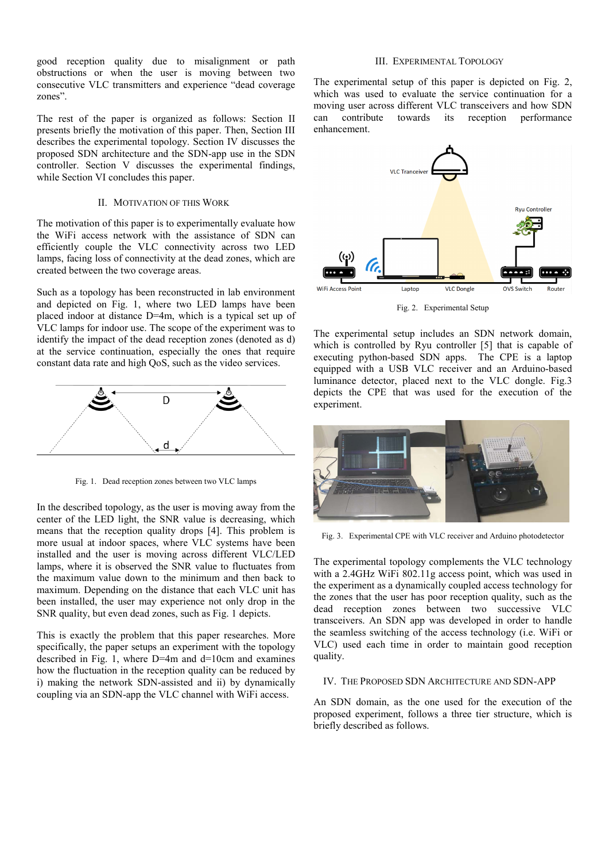good reception quality due to misalignment or path obstructions or when the user is moving between two consecutive VLC transmitters and experience "dead coverage zones".

The rest of the paper is organized as follows: Section II presents briefly the motivation of this paper. Then, Section III describes the experimental topology. Section IV discusses the proposed SDN architecture and the SDN-app use in the SDN controller. Section V discusses the experimental findings, while Section VI concludes this paper.

# II. MOTIVATION OF THIS WORK

The motivation of this paper is to experimentally evaluate how the WiFi access network with the assistance of SDN can efficiently couple the VLC connectivity across two LED lamps, facing loss of connectivity at the dead zones, which are created between the two coverage areas.

Such as a topology has been reconstructed in lab environment and depicted on Fig. 1, where two LED lamps have been placed indoor at distance D=4m, which is a typical set up of VLC lamps for indoor use. The scope of the experiment was to identify the impact of the dead reception zones (denoted as d) at the service continuation, especially the ones that require constant data rate and high QoS, such as the video services.



Fig. 1. Dead reception zones between two VLC lamps

In the described topology, as the user is moving away from the center of the LED light, the SNR value is decreasing, which means that the reception quality drops [4]. This problem is more usual at indoor spaces, where VLC systems have been installed and the user is moving across different VLC/LED lamps, where it is observed the SNR value to fluctuates from the maximum value down to the minimum and then back to maximum. Depending on the distance that each VLC unit has been installed, the user may experience not only drop in the SNR quality, but even dead zones, such as Fig. 1 depicts.

This is exactly the problem that this paper researches. More specifically, the paper setups an experiment with the topology described in Fig. 1, where  $D=4m$  and  $d=10cm$  and examines how the fluctuation in the reception quality can be reduced by i) making the network SDN-assisted and ii) by dynamically coupling via an SDN-app the VLC channel with WiFi access.

# III. EXPERIMENTAL TOPOLOGY

The experimental setup of this paper is depicted on Fig. 2, which was used to evaluate the service continuation for a moving user across different VLC transceivers and how SDN can contribute towards its reception performance enhancement.



Fig. 2. Experimental Setup

The experimental setup includes an SDN network domain, which is controlled by Ryu controller [5] that is capable of executing python-based SDN apps. The CPE is a laptop equipped with a USB VLC receiver and an Arduino-based luminance detector, placed next to the VLC dongle. Fig.3 depicts the CPE that was used for the execution of the experiment.



Fig. 3. Experimental CPE with VLC receiver and Arduino photodetector

The experimental topology complements the VLC technology with a 2.4GHz WiFi 802.11g access point, which was used in the experiment as a dynamically coupled access technology for the zones that the user has poor reception quality, such as the dead reception zones between two successive VLC transceivers. An SDN app was developed in order to handle the seamless switching of the access technology (i.e. WiFi or VLC) used each time in order to maintain good reception quality.

# IV. THE PROPOSED SDN ARCHITECTURE AND SDN-APP

An SDN domain, as the one used for the execution of the proposed experiment, follows a three tier structure, which is briefly described as follows.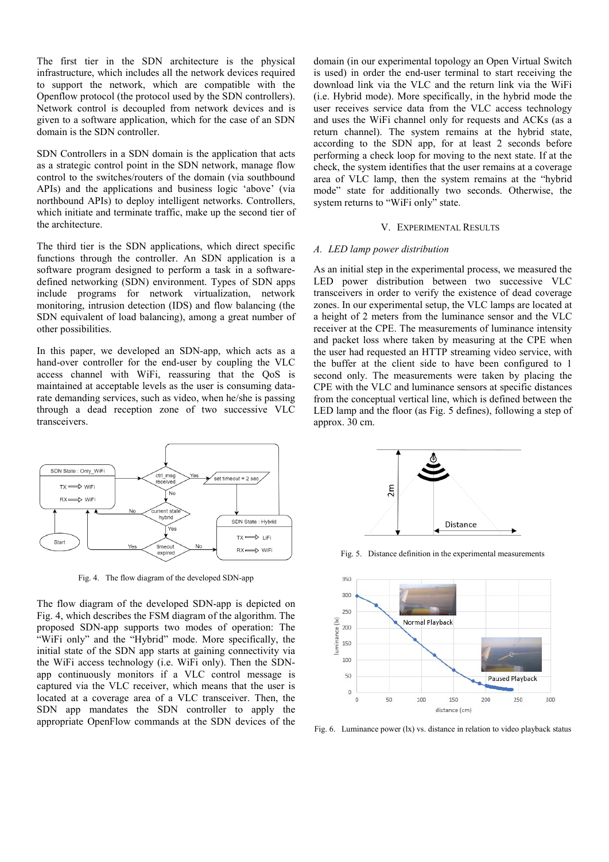The first tier in the SDN architecture is the physical infrastructure, which includes all the network devices required to support the network, which are compatible with the Openflow protocol (the protocol used by the SDN controllers). Network control is decoupled from network devices and is given to a software application, which for the case of an SDN domain is the SDN controller.

SDN Controllers in a SDN domain is the application that acts as a strategic control point in the SDN network, manage flow control to the switches/routers of the domain (via southbound APIs) and the applications and business logic 'above' (via northbound APIs) to deploy intelligent networks. Controllers, which initiate and terminate traffic, make up the second tier of the architecture.

The third tier is the SDN applications, which direct specific functions through the controller. An SDN application is a software program designed to perform a task in a softwaredefined networking (SDN) environment. Types of SDN apps include programs for network virtualization, network monitoring, intrusion detection (IDS) and flow balancing (the SDN equivalent of load balancing), among a great number of other possibilities.

In this paper, we developed an SDN-app, which acts as a hand-over controller for the end-user by coupling the VLC access channel with WiFi, reassuring that the QoS is maintained at acceptable levels as the user is consuming datarate demanding services, such as video, when he/she is passing through a dead reception zone of two successive VLC transceivers.



Fig. 4. The flow diagram of the developed SDN-app

The flow diagram of the developed SDN-app is depicted on Fig. 4, which describes the FSM diagram of the algorithm. The proposed SDN-app supports two modes of operation: The "WiFi only" and the "Hybrid" mode. More specifically, the initial state of the SDN app starts at gaining connectivity via the WiFi access technology (i.e. WiFi only). Then the SDNapp continuously monitors if a VLC control message is captured via the VLC receiver, which means that the user is located at a coverage area of a VLC transceiver. Then, the SDN app mandates the SDN controller to apply the appropriate OpenFlow commands at the SDN devices of the domain (in our experimental topology an Open Virtual Switch is used) in order the end-user terminal to start receiving the download link via the VLC and the return link via the WiFi (i.e. Hybrid mode). More specifically, in the hybrid mode the user receives service data from the VLC access technology and uses the WiFi channel only for requests and ACKs (as a return channel). The system remains at the hybrid state, according to the SDN app, for at least 2 seconds before performing a check loop for moving to the next state. If at the check, the system identifies that the user remains at a coverage area of VLC lamp, then the system remains at the "hybrid mode" state for additionally two seconds. Otherwise, the system returns to "WiFi only" state.

## V. EXPERIMENTAL RESULTS

#### *A. LED lamp power distribution*

As an initial step in the experimental process, we measured the LED power distribution between two successive VLC transceivers in order to verify the existence of dead coverage zones. In our experimental setup, the VLC lamps are located at a height of 2 meters from the luminance sensor and the VLC receiver at the CPE. The measurements of luminance intensity and packet loss where taken by measuring at the CPE when the user had requested an HTTP streaming video service, with the buffer at the client side to have been configured to 1 second only. The measurements were taken by placing the CPE with the VLC and luminance sensors at specific distances from the conceptual vertical line, which is defined between the LED lamp and the floor (as Fig. 5 defines), following a step of approx. 30 cm.



Fig. 5. Distance definition in the experimental measurements



Fig. 6. Luminance power (lx) vs. distance in relation to video playback status